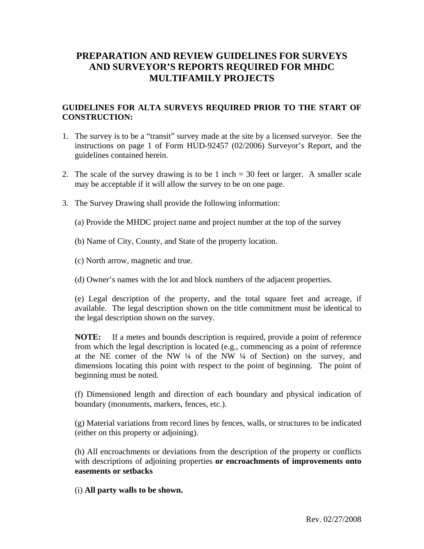# **PREPARATION AND REVIEW GUIDELINES FOR SURVEYS AND SURVEYOR'S REPORTS REQUIRED FOR MHDC MULTIFAMILY PROJECTS**

## **GUIDELINES FOR ALTA SURVEYS REQUIRED PRIOR TO THE START OF CONSTRUCTION:**

- 1. The survey is to be a "transit" survey made at the site by a licensed surveyor. See the instructions on page 1 of Form HUD-92457 (02/2006) Surveyor's Report, and the guidelines contained herein.
- 2. The scale of the survey drawing is to be 1 inch = 30 feet or larger. A smaller scale may be acceptable if it will allow the survey to be on one page.
- 3. The Survey Drawing shall provide the following information:
	- (a) Provide the MHDC project name and project number at the top of the survey
	- (b) Name of City, County, and State of the property location.
	- (c) North arrow, magnetic and true.
	- (d) Owner's names with the lot and block numbers of the adjacent properties.

 (e) Legal description of the property, and the total square feet and acreage, if available. The legal description shown on the title commitment must be identical to the legal description shown on the survey.

**NOTE:** If a metes and bounds description is required, provide a point of reference from which the legal description is located (e.g., commencing as a point of reference at the NE corner of the NW  $\frac{1}{4}$  of the NW  $\frac{1}{4}$  of Section) on the survey, and dimensions locating this point with respect to the point of beginning. The point of beginning must be noted.

 (f) Dimensioned length and direction of each boundary and physical indication of boundary (monuments, markers, fences, etc.).

 (g) Material variations from record lines by fences, walls, or structures to be indicated (either on this property or adjoining).

 (h) All encroachments or deviations from the description of the property or conflicts with descriptions of adjoining properties **or encroachments of improvements onto easements or setbacks** 

(i) **All party walls to be shown.**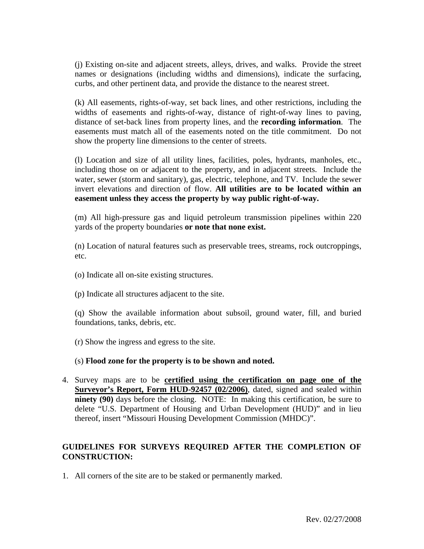(j) Existing on-site and adjacent streets, alleys, drives, and walks. Provide the street names or designations (including widths and dimensions), indicate the surfacing, curbs, and other pertinent data, and provide the distance to the nearest street.

 (k) All easements, rights-of-way, set back lines, and other restrictions, including the widths of easements and rights-of-way, distance of right-of-way lines to paving, distance of set-back lines from property lines, and the **recording information**. The easements must match all of the easements noted on the title commitment. Do not show the property line dimensions to the center of streets.

(l) Location and size of all utility lines, facilities, poles, hydrants, manholes, etc., including those on or adjacent to the property, and in adjacent streets. Include the water, sewer (storm and sanitary), gas, electric, telephone, and TV. Include the sewer invert elevations and direction of flow. **All utilities are to be located within an easement unless they access the property by way public right-of-way.** 

(m) All high-pressure gas and liquid petroleum transmission pipelines within 220 yards of the property boundaries **or note that none exist.**

(n) Location of natural features such as preservable trees, streams, rock outcroppings, etc.

- (o) Indicate all on-site existing structures.
- (p) Indicate all structures adjacent to the site.

(q) Show the available information about subsoil, ground water, fill, and buried foundations, tanks, debris, etc.

- (r) Show the ingress and egress to the site.
- (s) **Flood zone for the property is to be shown and noted.**
- 4. Survey maps are to be **certified using the certification on page one of the Surveyor's Report, Form HUD-92457 (02/2006)**, dated, signed and sealed within **ninety (90)** days before the closing. NOTE: In making this certification, be sure to delete "U.S. Department of Housing and Urban Development (HUD)" and in lieu thereof, insert "Missouri Housing Development Commission (MHDC)".

### **GUIDELINES FOR SURVEYS REQUIRED AFTER THE COMPLETION OF CONSTRUCTION:**

1. All corners of the site are to be staked or permanently marked.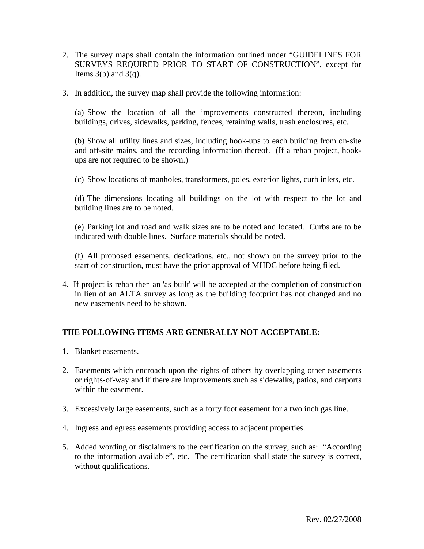- 2. The survey maps shall contain the information outlined under "GUIDELINES FOR SURVEYS REQUIRED PRIOR TO START OF CONSTRUCTION", except for Items  $3(b)$  and  $3(q)$ .
- 3. In addition, the survey map shall provide the following information:

 (a) Show the location of all the improvements constructed thereon, including buildings, drives, sidewalks, parking, fences, retaining walls, trash enclosures, etc.

 (b) Show all utility lines and sizes, including hook-ups to each building from on-site and off-site mains, and the recording information thereof. (If a rehab project, hookups are not required to be shown.)

(c) Show locations of manholes, transformers, poles, exterior lights, curb inlets, etc.

 (d) The dimensions locating all buildings on the lot with respect to the lot and building lines are to be noted.

(e) Parking lot and road and walk sizes are to be noted and located. Curbs are to be indicated with double lines. Surface materials should be noted.

 (f) All proposed easements, dedications, etc., not shown on the survey prior to the start of construction, must have the prior approval of MHDC before being filed.

4. If project is rehab then an 'as built' will be accepted at the completion of construction in lieu of an ALTA survey as long as the building footprint has not changed and no new easements need to be shown.

### **THE FOLLOWING ITEMS ARE GENERALLY NOT ACCEPTABLE:**

- 1. Blanket easements.
- 2. Easements which encroach upon the rights of others by overlapping other easements or rights-of-way and if there are improvements such as sidewalks, patios, and carports within the easement.
- 3. Excessively large easements, such as a forty foot easement for a two inch gas line.
- 4. Ingress and egress easements providing access to adjacent properties.
- 5. Added wording or disclaimers to the certification on the survey, such as: "According to the information available", etc. The certification shall state the survey is correct, without qualifications.